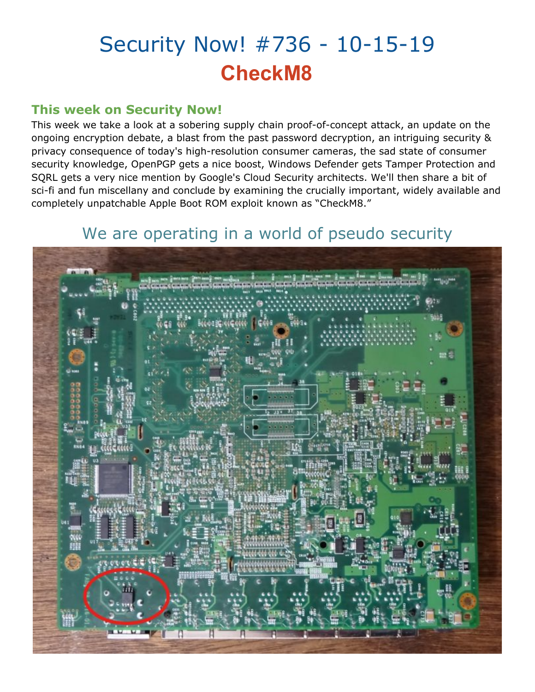# Security Now! #736 - 10-15-19 **CheckM8**

### **This week on Security Now!**

This week we take a look at a sobering supply chain proof-of-concept attack, an update on the ongoing encryption debate, a blast from the past password decryption, an intriguing security & privacy consequence of today's high-resolution consumer cameras, the sad state of consumer security knowledge, OpenPGP gets a nice boost, Windows Defender gets Tamper Protection and SQRL gets a very nice mention by Google's Cloud Security architects. We'll then share a bit of sci-fi and fun miscellany and conclude by examining the crucially important, widely available and completely unpatchable Apple Boot ROM exploit known as "CheckM8."

## We are operating in a world of pseudo security

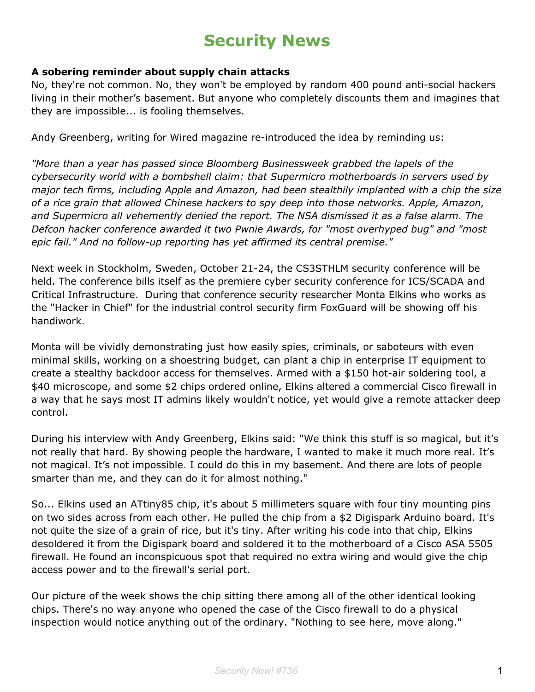# **Security News**

#### **A sobering reminder about supply chain attacks**

No, they're not common. No, they won't be employed by random 400 pound anti-social hackers living in their mother's basement. But anyone who completely discounts them and imagines that they are impossible... is fooling themselves.

Andy Greenberg, writing for Wired magazine re-introduced the idea by reminding us:

*"More than a year has passed since Bloomberg Businessweek grabbed the lapels of the cybersecurity world with a bombshell claim: that Supermicro motherboards in servers used by major tech firms, including Apple and Amazon, had been stealthily implanted with a chip the size of a rice grain that allowed Chinese hackers to spy deep into those networks. Apple, Amazon, and Supermicro all vehemently denied the report. The NSA dismissed it as a false alarm. The Defcon hacker conference awarded it two Pwnie Awards, for "most overhyped bug" and "most epic fail." And no follow-up reporting has yet affirmed its central premise."*

Next week in Stockholm, Sweden, October 21-24, the CS3STHLM security conference will be held. The conference bills itself as the premiere cyber security conference for ICS/SCADA and Critical Infrastructure. During that conference security researcher Monta Elkins who works as the "Hacker in Chief" for the industrial control security firm FoxGuard will be showing off his handiwork.

Monta will be vividly demonstrating just how easily spies, criminals, or saboteurs with even minimal skills, working on a shoestring budget, can plant a chip in enterprise IT equipment to create a stealthy backdoor access for themselves. Armed with a \$150 hot-air soldering tool, a \$40 microscope, and some \$2 chips ordered online, Elkins altered a commercial Cisco firewall in a way that he says most IT admins likely wouldn't notice, yet would give a remote attacker deep control.

During his interview with Andy Greenberg, Elkins said: "We think this stuff is so magical, but it's not really that hard. By showing people the hardware, I wanted to make it much more real. It's not magical. It's not impossible. I could do this in my basement. And there are lots of people smarter than me, and they can do it for almost nothing."

So... Elkins used an ATtiny85 chip, it's about 5 millimeters square with four tiny mounting pins on two sides across from each other. He pulled the chip from a \$2 Digispark Arduino board. It's not quite the size of a grain of rice, but it's tiny. After writing his code into that chip, Elkins desoldered it from the Digispark board and soldered it to the motherboard of a Cisco ASA 5505 firewall. He found an inconspicuous spot that required no extra wiring and would give the chip access power and to the firewall's serial port.

Our picture of the week shows the chip sitting there among all of the other identical looking chips. There's no way anyone who opened the case of the Cisco firewall to do a physical inspection would notice anything out of the ordinary. "Nothing to see here, move along."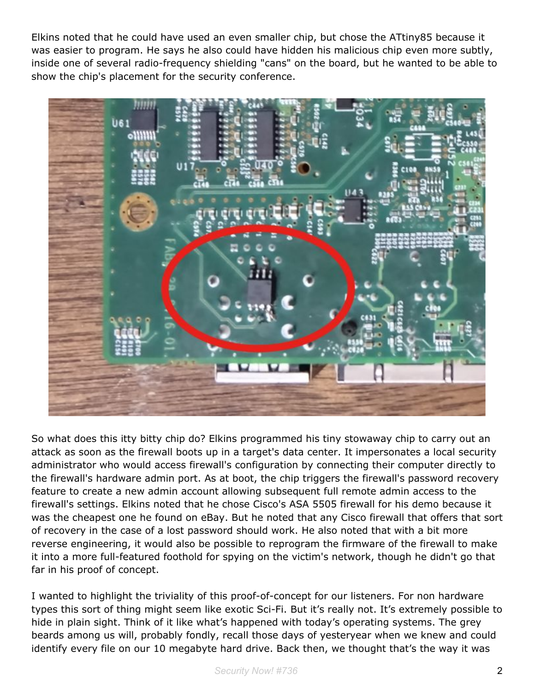Elkins noted that he could have used an even smaller chip, but chose the ATtiny85 because it was easier to program. He says he also could have hidden his malicious chip even more subtly, inside one of several radio-frequency shielding "cans" on the board, but he wanted to be able to show the chip's placement for the security conference.



So what does this itty bitty chip do? Elkins programmed his tiny stowaway chip to carry out an attack as soon as the firewall boots up in a target's data center. It impersonates a local security administrator who would access firewall's configuration by connecting their computer directly to the firewall's hardware admin port. As at boot, the chip triggers the firewall's password recovery feature to create a new admin account allowing subsequent full remote admin access to the firewall's settings. Elkins noted that he chose Cisco's ASA 5505 firewall for his demo because it was the cheapest one he found on eBay. But he noted that any Cisco firewall that offers that sort of recovery in the case of a lost password should work. He also noted that with a bit more reverse engineering, it would also be possible to reprogram the firmware of the firewall to make it into a more full-featured foothold for spying on the victim's network, though he didn't go that far in his proof of concept.

I wanted to highlight the triviality of this proof-of-concept for our listeners. For non hardware types this sort of thing might seem like exotic Sci-Fi. But it's really not. It's extremely possible to hide in plain sight. Think of it like what's happened with today's operating systems. The grey beards among us will, probably fondly, recall those days of yesteryear when we knew and could identify every file on our 10 megabyte hard drive. Back then, we thought that's the way it was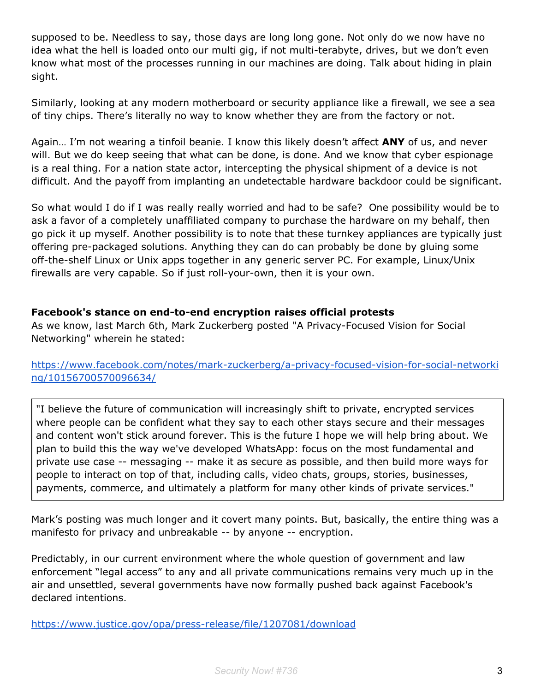supposed to be. Needless to say, those days are long long gone. Not only do we now have no idea what the hell is loaded onto our multi gig, if not multi-terabyte, drives, but we don't even know what most of the processes running in our machines are doing. Talk about hiding in plain sight.

Similarly, looking at any modern motherboard or security appliance like a firewall, we see a sea of tiny chips. There's literally no way to know whether they are from the factory or not.

Again… I'm not wearing a tinfoil beanie. I know this likely doesn't affect **ANY** of us, and never will. But we do keep seeing that what can be done, is done. And we know that cyber espionage is a real thing. For a nation state actor, intercepting the physical shipment of a device is not difficult. And the payoff from implanting an undetectable hardware backdoor could be significant.

So what would I do if I was really really worried and had to be safe? One possibility would be to ask a favor of a completely unaffiliated company to purchase the hardware on my behalf, then go pick it up myself. Another possibility is to note that these turnkey appliances are typically just offering pre-packaged solutions. Anything they can do can probably be done by gluing some off-the-shelf Linux or Unix apps together in any generic server PC. For example, Linux/Unix firewalls are very capable. So if just roll-your-own, then it is your own.

#### **Facebook's stance on end-to-end encryption raises official protests**

As we know, last March 6th, Mark Zuckerberg posted "A Privacy-Focused Vision for Social Networking" wherein he stated:

[https://www.facebook.com/notes/mark-zuckerberg/a-privacy-focused-vision-for-social-networki](https://www.facebook.com/notes/mark-zuckerberg/a-privacy-focused-vision-for-social-networking/10156700570096634/) [ng/10156700570096634/](https://www.facebook.com/notes/mark-zuckerberg/a-privacy-focused-vision-for-social-networking/10156700570096634/)

"I believe the future of communication will increasingly shift to private, encrypted services where people can be confident what they say to each other stays secure and their messages and content won't stick around forever. This is the future I hope we will help bring about. We plan to build this the way we've developed WhatsApp: focus on the most fundamental and private use case -- messaging -- make it as secure as possible, and then build more ways for people to interact on top of that, including calls, video chats, groups, stories, businesses, payments, commerce, and ultimately a platform for many other kinds of private services."

Mark's posting was much longer and it covert many points. But, basically, the entire thing was a manifesto for privacy and unbreakable -- by anyone -- encryption.

Predictably, in our current environment where the whole question of government and law enforcement "legal access" to any and all private communications remains very much up in the air and unsettled, several governments have now formally pushed back against Facebook's declared intentions.

<https://www.justice.gov/opa/press-release/file/1207081/download>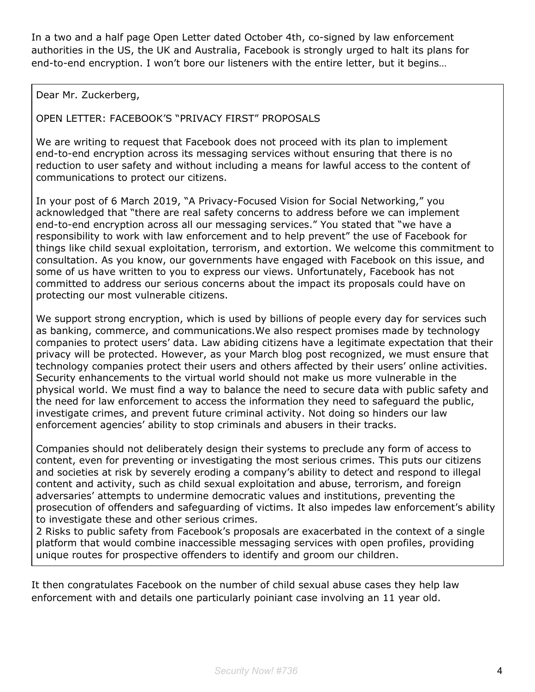In a two and a half page Open Letter dated October 4th, co-signed by law enforcement authorities in the US, the UK and Australia, Facebook is strongly urged to halt its plans for end-to-end encryption. I won't bore our listeners with the entire letter, but it begins…

Dear Mr. Zuckerberg,

OPEN LETTER: FACEBOOK'S "PRIVACY FIRST" PROPOSALS

We are writing to request that Facebook does not proceed with its plan to implement end-to-end encryption across its messaging services without ensuring that there is no reduction to user safety and without including a means for lawful access to the content of communications to protect our citizens.

In your post of 6 March 2019, "A Privacy-Focused Vision for Social Networking," you acknowledged that "there are real safety concerns to address before we can implement end-to-end encryption across all our messaging services." You stated that "we have a responsibility to work with law enforcement and to help prevent" the use of Facebook for things like child sexual exploitation, terrorism, and extortion. We welcome this commitment to consultation. As you know, our governments have engaged with Facebook on this issue, and some of us have written to you to express our views. Unfortunately, Facebook has not committed to address our serious concerns about the impact its proposals could have on protecting our most vulnerable citizens.

We support strong encryption, which is used by billions of people every day for services such as banking, commerce, and communications.We also respect promises made by technology companies to protect users' data. Law abiding citizens have a legitimate expectation that their privacy will be protected. However, as your March blog post recognized, we must ensure that technology companies protect their users and others affected by their users' online activities. Security enhancements to the virtual world should not make us more vulnerable in the physical world. We must find a way to balance the need to secure data with public safety and the need for law enforcement to access the information they need to safeguard the public, investigate crimes, and prevent future criminal activity. Not doing so hinders our law enforcement agencies' ability to stop criminals and abusers in their tracks.

Companies should not deliberately design their systems to preclude any form of access to content, even for preventing or investigating the most serious crimes. This puts our citizens and societies at risk by severely eroding a company's ability to detect and respond to illegal content and activity, such as child sexual exploitation and abuse, terrorism, and foreign adversaries' attempts to undermine democratic values and institutions, preventing the prosecution of offenders and safeguarding of victims. It also impedes law enforcement's ability to investigate these and other serious crimes.

2 Risks to public safety from Facebook's proposals are exacerbated in the context of a single platform that would combine inaccessible messaging services with open profiles, providing unique routes for prospective offenders to identify and groom our children.

It then congratulates Facebook on the number of child sexual abuse cases they help law enforcement with and details one particularly poiniant case involving an 11 year old.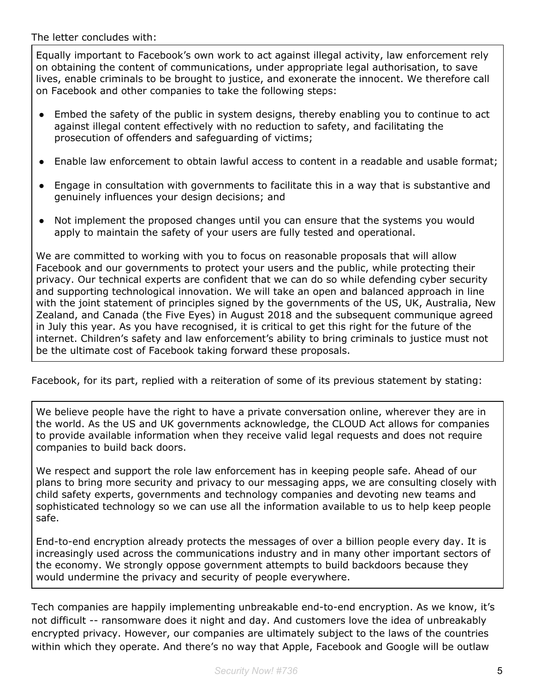The letter concludes with:

Equally important to Facebook's own work to act against illegal activity, law enforcement rely on obtaining the content of communications, under appropriate legal authorisation, to save lives, enable criminals to be brought to justice, and exonerate the innocent. We therefore call on Facebook and other companies to take the following steps:

- Embed the safety of the public in system designs, thereby enabling you to continue to act against illegal content effectively with no reduction to safety, and facilitating the prosecution of offenders and safeguarding of victims;
- Enable law enforcement to obtain lawful access to content in a readable and usable format;
- Engage in consultation with governments to facilitate this in a way that is substantive and genuinely influences your design decisions; and
- Not implement the proposed changes until you can ensure that the systems you would apply to maintain the safety of your users are fully tested and operational.

We are committed to working with you to focus on reasonable proposals that will allow Facebook and our governments to protect your users and the public, while protecting their privacy. Our technical experts are confident that we can do so while defending cyber security and supporting technological innovation. We will take an open and balanced approach in line with the joint statement of principles signed by the governments of the US, UK, Australia, New Zealand, and Canada (the Five Eyes) in August 2018 and the subsequent communique agreed in July this year. As you have recognised, it is critical to get this right for the future of the internet. Children's safety and law enforcement's ability to bring criminals to justice must not be the ultimate cost of Facebook taking forward these proposals.

Facebook, for its part, replied with a reiteration of some of its previous statement by stating:

We believe people have the right to have a private conversation online, wherever they are in the world. As the US and UK governments acknowledge, the CLOUD Act allows for companies to provide available information when they receive valid legal requests and does not require companies to build back doors.

We respect and support the role law enforcement has in keeping people safe. Ahead of our plans to bring more security and privacy to our messaging apps, we are consulting closely with child safety experts, governments and technology companies and devoting new teams and sophisticated technology so we can use all the information available to us to help keep people safe.

End-to-end encryption already protects the messages of over a billion people every day. It is increasingly used across the communications industry and in many other important sectors of the economy. We strongly oppose government attempts to build backdoors because they would undermine the privacy and security of people everywhere.

Tech companies are happily implementing unbreakable end-to-end encryption. As we know, it's not difficult -- ransomware does it night and day. And customers love the idea of unbreakably encrypted privacy. However, our companies are ultimately subject to the laws of the countries within which they operate. And there's no way that Apple, Facebook and Google will be outlaw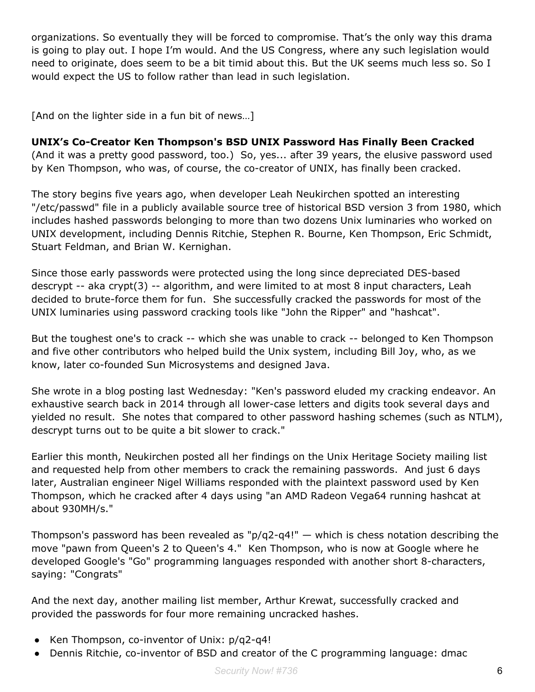organizations. So eventually they will be forced to compromise. That's the only way this drama is going to play out. I hope I'm would. And the US Congress, where any such legislation would need to originate, does seem to be a bit timid about this. But the UK seems much less so. So I would expect the US to follow rather than lead in such legislation.

[And on the lighter side in a fun bit of news...]

#### **UNIX's Co-Creator Ken Thompson's BSD UNIX Password Has Finally Been Cracked**

(And it was a pretty good password, too.) So, yes... after 39 years, the elusive password used by Ken Thompson, who was, of course, the co-creator of UNIX, has finally been cracked.

The story begins five years ago, when developer Leah Neukirchen spotted an interesting "/etc/passwd" file in a publicly available source tree of historical BSD version 3 from 1980, which includes hashed passwords belonging to more than two dozens Unix luminaries who worked on UNIX development, including Dennis Ritchie, Stephen R. Bourne, Ken Thompson, Eric Schmidt, Stuart Feldman, and Brian W. Kernighan.

Since those early passwords were protected using the long since depreciated DES-based descrypt -- aka crypt(3) -- algorithm, and were limited to at most 8 input characters, Leah decided to brute-force them for fun. She successfully cracked the passwords for most of the UNIX luminaries using password cracking tools like "John the Ripper" and "hashcat".

But the toughest one's to crack -- which she was unable to crack -- belonged to Ken Thompson and five other contributors who helped build the Unix system, including Bill Joy, who, as we know, later co-founded Sun Microsystems and designed Java.

She wrote in a blog posting last Wednesday: "Ken's password eluded my cracking endeavor. An exhaustive search back in 2014 through all lower-case letters and digits took several days and yielded no result. She notes that compared to other password hashing schemes (such as NTLM), descrypt turns out to be quite a bit slower to crack."

Earlier this month, Neukirchen posted all her findings on the Unix Heritage Society mailing list and requested help from other members to crack the remaining passwords. And just 6 days later, Australian engineer Nigel Williams responded with the plaintext password used by Ken Thompson, which he cracked after 4 days using "an AMD Radeon Vega64 running hashcat at about 930MH/s."

Thompson's password has been revealed as " $p/q2-q4!$ " — which is chess notation describing the move "pawn from Queen's 2 to Queen's 4." Ken Thompson, who is now at Google where he developed Google's "Go" programming languages responded with another short 8-characters, saying: "Congrats"

And the next day, another mailing list member, Arthur Krewat, successfully cracked and provided the passwords for four more remaining uncracked hashes.

- Ken Thompson, co-inventor of Unix: p/q2-q4!
- Dennis Ritchie, co-inventor of BSD and creator of the C programming language: dmac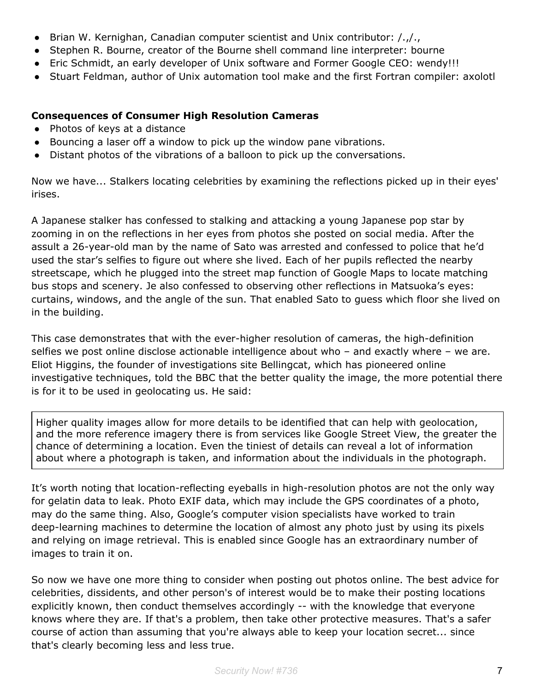- Brian W. Kernighan, Canadian computer scientist and Unix contributor: /.,/.,
- Stephen R. Bourne, creator of the Bourne shell command line interpreter: bourne
- Eric Schmidt, an early developer of Unix software and Former Google CEO: wendy!!!
- Stuart Feldman, author of Unix automation tool make and the first Fortran compiler: axolotl

#### **Consequences of Consumer High Resolution Cameras**

- Photos of keys at a distance
- Bouncing a laser off a window to pick up the window pane vibrations.
- Distant photos of the vibrations of a balloon to pick up the conversations.

Now we have... Stalkers locating celebrities by examining the reflections picked up in their eyes' irises.

A Japanese stalker has confessed to stalking and attacking a young Japanese pop star by zooming in on the reflections in her eyes from photos she posted on social media. After the assult a 26-year-old man by the name of Sato was arrested and confessed to police that he'd used the star's selfies to figure out where she lived. Each of her pupils reflected the nearby streetscape, which he plugged into the street map function of Google Maps to locate matching bus stops and scenery. Je also confessed to observing other reflections in Matsuoka's eyes: curtains, windows, and the angle of the sun. That enabled Sato to guess which floor she lived on in the building.

This case demonstrates that with the ever-higher resolution of cameras, the high-definition selfies we post online disclose actionable intelligence about who – and exactly where – we are. Eliot Higgins, the founder of investigations site Bellingcat, which has pioneered online investigative techniques, told the BBC that the better quality the image, the more potential there is for it to be used in geolocating us. He said:

Higher quality images allow for more details to be identified that can help with geolocation, and the more reference imagery there is from services like Google Street View, the greater the chance of determining a location. Even the tiniest of details can reveal a lot of information about where a photograph is taken, and information about the individuals in the photograph.

It's worth noting that location-reflecting eyeballs in high-resolution photos are not the only way for gelatin data to leak. Photo EXIF data, which may include the GPS coordinates of a photo, may do the same thing. Also, Google's computer vision specialists have worked to train deep-learning machines to determine the location of almost any photo just by using its pixels and relying on image retrieval. This is enabled since Google has an extraordinary number of images to train it on.

So now we have one more thing to consider when posting out photos online. The best advice for celebrities, dissidents, and other person's of interest would be to make their posting locations explicitly known, then conduct themselves accordingly -- with the knowledge that everyone knows where they are. If that's a problem, then take other protective measures. That's a safer course of action than assuming that you're always able to keep your location secret... since that's clearly becoming less and less true.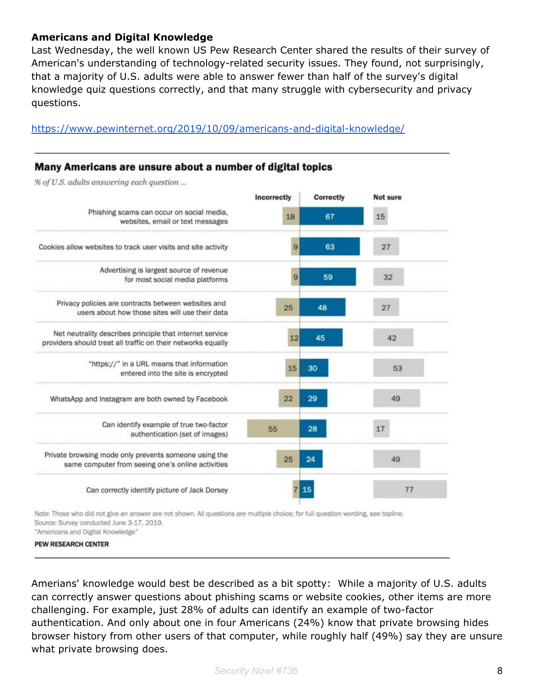#### **Americans and Digital Knowledge**

Last Wednesday, the well known US Pew Research Center shared the results of their survey of American's understanding of technology-related security issues. They found, not surprisingly, that a majority of U.S. adults were able to answer fewer than half of the survey's digital knowledge quiz questions correctly, and that many struggle with cybersecurity and privacy questions.

<https://www.pewinternet.org/2019/10/09/americans-and-digital-knowledge/>

#### Many Americans are unsure about a number of digital topics

% of U.S. adults answering each question ...



Note: Those who did not give an answer are not shown. All questions are multiple choice; for full question wording, see topline. Source: Survey conducted June 3-17, 2019. "Americans and Digital Knowledge"

PEW RESEARCH CENTER

Amerians' knowledge would best be described as a bit spotty: While a majority of U.S. adults can correctly answer questions about phishing scams or website cookies, other items are more challenging. For example, just 28% of adults can identify an example of two-factor authentication. And only about one in four Americans (24%) know that private browsing hides browser history from other users of that computer, while roughly half (49%) say they are unsure what private browsing does.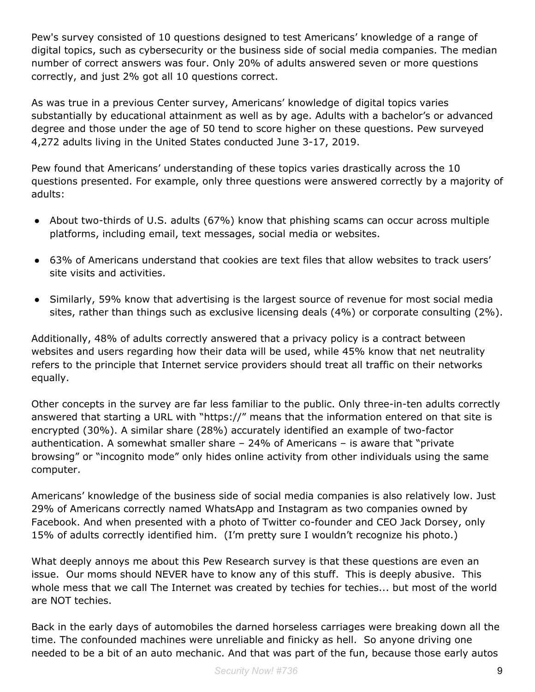Pew's survey consisted of 10 questions designed to test Americans' knowledge of a range of digital topics, such as cybersecurity or the business side of social media companies. The median number of correct answers was four. Only 20% of adults answered seven or more questions correctly, and just 2% got all 10 questions correct.

As was true in a previous Center survey, Americans' knowledge of digital topics varies substantially by educational attainment as well as by age. Adults with a bachelor's or advanced degree and those under the age of 50 tend to score higher on these questions. Pew surveyed 4,272 adults living in the United States conducted June 3-17, 2019.

Pew found that Americans' understanding of these topics varies drastically across the 10 questions presented. For example, only three questions were answered correctly by a majority of adults:

- About two-thirds of U.S. adults (67%) know that phishing scams can occur across multiple platforms, including email, text messages, social media or websites.
- 63% of Americans understand that cookies are text files that allow websites to track users' site visits and activities.
- Similarly, 59% know that advertising is the largest source of revenue for most social media sites, rather than things such as exclusive licensing deals (4%) or corporate consulting (2%).

Additionally, 48% of adults correctly answered that a privacy policy is a contract between websites and users regarding how their data will be used, while 45% know that net neutrality refers to the principle that Internet service providers should treat all traffic on their networks equally.

Other concepts in the survey are far less familiar to the public. Only three-in-ten adults correctly answered that starting a URL with "https://" means that the information entered on that site is encrypted (30%). A similar share (28%) accurately identified an example of two-factor authentication. A somewhat smaller share – 24% of Americans – is aware that "private browsing" or "incognito mode" only hides online activity from other individuals using the same computer.

Americans' knowledge of the business side of social media companies is also relatively low. Just 29% of Americans correctly named WhatsApp and Instagram as two companies owned by Facebook. And when presented with a photo of Twitter co-founder and CEO Jack Dorsey, only 15% of adults correctly identified him. (I'm pretty sure I wouldn't recognize his photo.)

What deeply annoys me about this Pew Research survey is that these questions are even an issue. Our moms should NEVER have to know any of this stuff. This is deeply abusive. This whole mess that we call The Internet was created by techies for techies... but most of the world are NOT techies.

Back in the early days of automobiles the darned horseless carriages were breaking down all the time. The confounded machines were unreliable and finicky as hell. So anyone driving one needed to be a bit of an auto mechanic. And that was part of the fun, because those early autos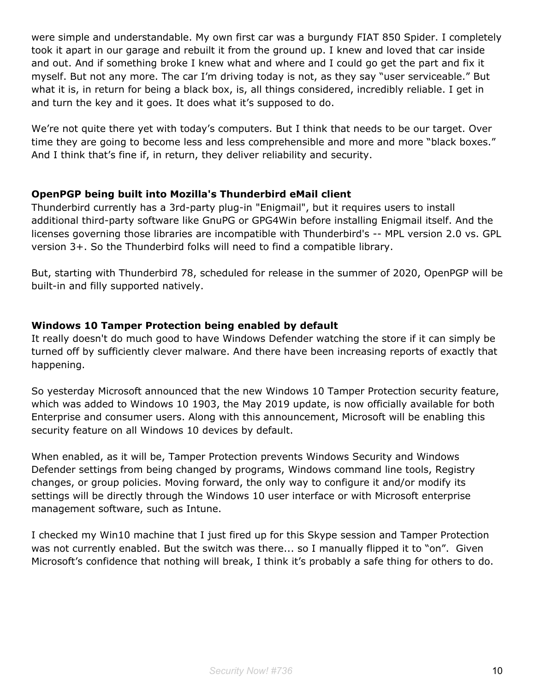were simple and understandable. My own first car was a burgundy FIAT 850 Spider. I completely took it apart in our garage and rebuilt it from the ground up. I knew and loved that car inside and out. And if something broke I knew what and where and I could go get the part and fix it myself. But not any more. The car I'm driving today is not, as they say "user serviceable." But what it is, in return for being a black box, is, all things considered, incredibly reliable. I get in and turn the key and it goes. It does what it's supposed to do.

We're not quite there yet with today's computers. But I think that needs to be our target. Over time they are going to become less and less comprehensible and more and more "black boxes." And I think that's fine if, in return, they deliver reliability and security.

#### **OpenPGP being built into Mozilla's Thunderbird eMail client**

Thunderbird currently has a 3rd-party plug-in "Enigmail", but it requires users to install additional third-party software like GnuPG or GPG4Win before installing Enigmail itself. And the licenses governing those libraries are incompatible with Thunderbird's -- MPL version 2.0 vs. GPL version 3+. So the Thunderbird folks will need to find a compatible library.

But, starting with Thunderbird 78, scheduled for release in the summer of 2020, OpenPGP will be built-in and filly supported natively.

#### **Windows 10 Tamper Protection being enabled by default**

It really doesn't do much good to have Windows Defender watching the store if it can simply be turned off by sufficiently clever malware. And there have been increasing reports of exactly that happening.

So yesterday Microsoft announced that the new Windows 10 Tamper Protection security feature, which was added to Windows 10 1903, the May 2019 update, is now officially available for both Enterprise and consumer users. Along with this announcement, Microsoft will be enabling this security feature on all Windows 10 devices by default.

When enabled, as it will be, Tamper Protection prevents Windows Security and Windows Defender settings from being changed by programs, Windows command line tools, Registry changes, or group policies. Moving forward, the only way to configure it and/or modify its settings will be directly through the Windows 10 user interface or with Microsoft enterprise management software, such as Intune.

I checked my Win10 machine that I just fired up for this Skype session and Tamper Protection was not currently enabled. But the switch was there... so I manually flipped it to "on". Given Microsoft's confidence that nothing will break, I think it's probably a safe thing for others to do.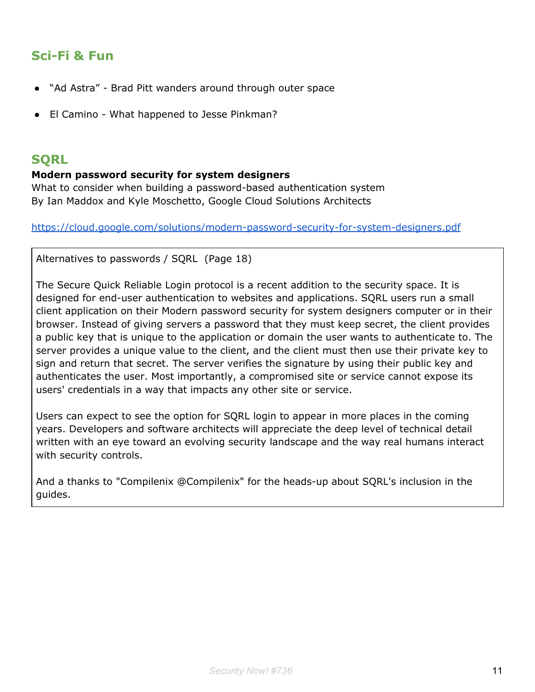### **Sci-Fi & Fun**

- "Ad Astra" Brad Pitt wanders around through outer space
- El Camino What happened to Jesse Pinkman?

#### **SQRL**

#### **Modern password security for system designers**

What to consider when building a password-based authentication system By Ian Maddox and Kyle Moschetto, Google Cloud Solutions Architects

<https://cloud.google.com/solutions/modern-password-security-for-system-designers.pdf>

Alternatives to passwords / SQRL (Page 18)

The Secure Quick Reliable Login protocol is a recent addition to the security space. It is designed for end-user authentication to websites and applications. SQRL users run a small client application on their Modern password security for system designers computer or in their browser. Instead of giving servers a password that they must keep secret, the client provides a public key that is unique to the application or domain the user wants to authenticate to. The server provides a unique value to the client, and the client must then use their private key to sign and return that secret. The server verifies the signature by using their public key and authenticates the user. Most importantly, a compromised site or service cannot expose its users' credentials in a way that impacts any other site or service.

Users can expect to see the option for SQRL login to appear in more places in the coming years. Developers and software architects will appreciate the deep level of technical detail written with an eye toward an evolving security landscape and the way real humans interact with security controls.

And a thanks to "Compilenix @Compilenix" for the heads-up about SQRL's inclusion in the guides.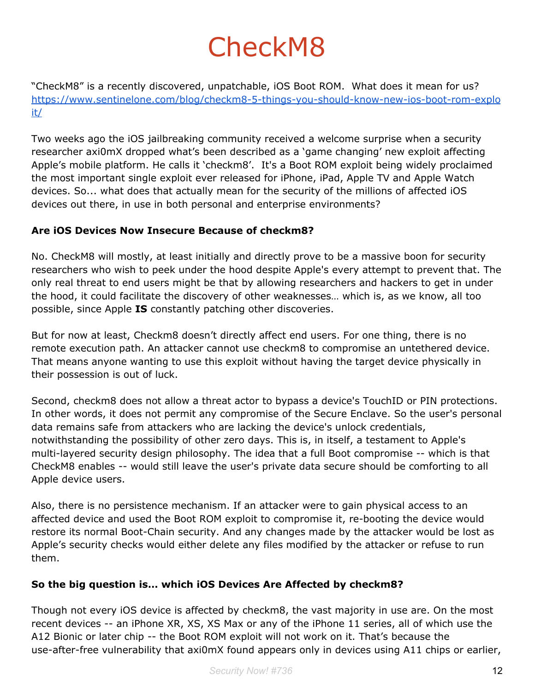# CheckM8

"CheckM8" is a recently discovered, unpatchable, iOS Boot ROM. What does it mean for us? [https://www.sentinelone.com/blog/checkm8-5-things-you-should-know-new-ios-boot-rom-explo](https://www.sentinelone.com/blog/checkm8-5-things-you-should-know-new-ios-boot-rom-exploit/) [it/](https://www.sentinelone.com/blog/checkm8-5-things-you-should-know-new-ios-boot-rom-exploit/)

Two weeks ago the iOS jailbreaking community received a welcome surprise when a security researcher axi0mX dropped what's been described as a 'game changing' new exploit affecting Apple's mobile platform. He calls it 'checkm8'. It's a Boot ROM exploit being widely proclaimed the most important single exploit ever released for iPhone, iPad, Apple TV and Apple Watch devices. So... what does that actually mean for the security of the millions of affected iOS devices out there, in use in both personal and enterprise environments?

#### **Are iOS Devices Now Insecure Because of checkm8?**

No. CheckM8 will mostly, at least initially and directly prove to be a massive boon for security researchers who wish to peek under the hood despite Apple's every attempt to prevent that. The only real threat to end users might be that by allowing researchers and hackers to get in under the hood, it could facilitate the discovery of other weaknesses… which is, as we know, all too possible, since Apple **IS** constantly patching other discoveries.

But for now at least, Checkm8 doesn't directly affect end users. For one thing, there is no remote execution path. An attacker cannot use checkm8 to compromise an untethered device. That means anyone wanting to use this exploit without having the target device physically in their possession is out of luck.

Second, checkm8 does not allow a threat actor to bypass a device's TouchID or PIN protections. In other words, it does not permit any compromise of the Secure Enclave. So the user's personal data remains safe from attackers who are lacking the device's unlock credentials, notwithstanding the possibility of other zero days. This is, in itself, a testament to Apple's multi-layered security design philosophy. The idea that a full Boot compromise -- which is that CheckM8 enables -- would still leave the user's private data secure should be comforting to all Apple device users.

Also, there is no persistence mechanism. If an attacker were to gain physical access to an affected device and used the Boot ROM exploit to compromise it, re-booting the device would restore its normal Boot-Chain security. And any changes made by the attacker would be lost as Apple's security checks would either delete any files modified by the attacker or refuse to run them.

#### **So the big question is… which iOS Devices Are Affected by checkm8?**

Though not every iOS device is affected by checkm8, the vast majority in use are. On the most recent devices -- an iPhone XR, XS, XS Max or any of the iPhone 11 series, all of which use the A12 Bionic or later chip -- the Boot ROM exploit will not work on it. That's because the use-after-free vulnerability that axi0mX found appears only in devices using A11 chips or earlier,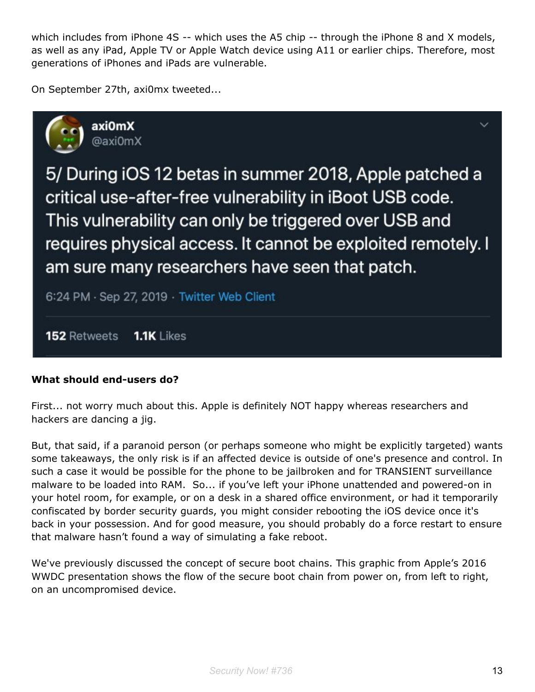which includes from iPhone 4S -- which uses the A5 chip -- through the iPhone 8 and X models, as well as any iPad, Apple TV or Apple Watch device using A11 or earlier chips. Therefore, most generations of iPhones and iPads are vulnerable.

On September 27th, axi0mx tweeted...



5/ During iOS 12 betas in summer 2018, Apple patched a critical use-after-free vulnerability in iBoot USB code. This vulnerability can only be triggered over USB and requires physical access. It cannot be exploited remotely. I am sure many researchers have seen that patch.

6:24 PM · Sep 27, 2019 · Twitter Web Client

152 Retweets  $1.1K$  Likes

#### **What should end-users do?**

First... not worry much about this. Apple is definitely NOT happy whereas researchers and hackers are dancing a jig.

But, that said, if a paranoid person (or perhaps someone who might be explicitly targeted) wants some takeaways, the only risk is if an affected device is outside of one's presence and control. In such a case it would be possible for the phone to be jailbroken and for TRANSIENT surveillance malware to be loaded into RAM. So... if you've left your iPhone unattended and powered-on in your hotel room, for example, or on a desk in a shared office environment, or had it temporarily confiscated by border security guards, you might consider rebooting the iOS device once it's back in your possession. And for good measure, you should probably do a force restart to ensure that malware hasn't found a way of simulating a fake reboot.

We've previously discussed the concept of secure boot chains. This graphic from Apple's 2016 WWDC presentation shows the flow of the secure boot chain from power on, from left to right, on an uncompromised device.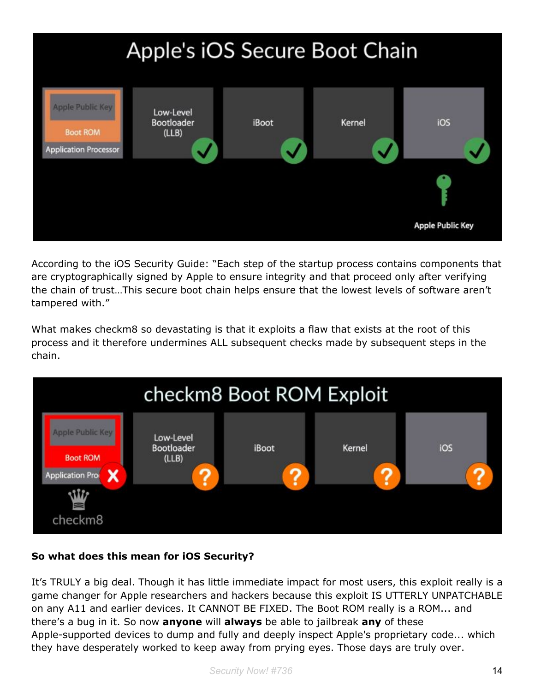

According to the iOS Security Guide: "Each step of the startup process contains components that are cryptographically signed by Apple to ensure integrity and that proceed only after verifying the chain of trust…This secure boot chain helps ensure that the lowest levels of software aren't tampered with."

What makes checkm8 so devastating is that it exploits a flaw that exists at the root of this process and it therefore undermines ALL subsequent checks made by subsequent steps in the chain.



#### **So what does this mean for iOS Security?**

It's TRULY a big deal. Though it has little immediate impact for most users, this exploit really is a game changer for Apple researchers and hackers because this exploit IS UTTERLY UNPATCHABLE on any A11 and earlier devices. It CANNOT BE FIXED. The Boot ROM really is a ROM... and there's a bug in it. So now **anyone** will **always** be able to jailbreak **any** of these Apple-supported devices to dump and fully and deeply inspect Apple's proprietary code... which they have desperately worked to keep away from prying eyes. Those days are truly over.